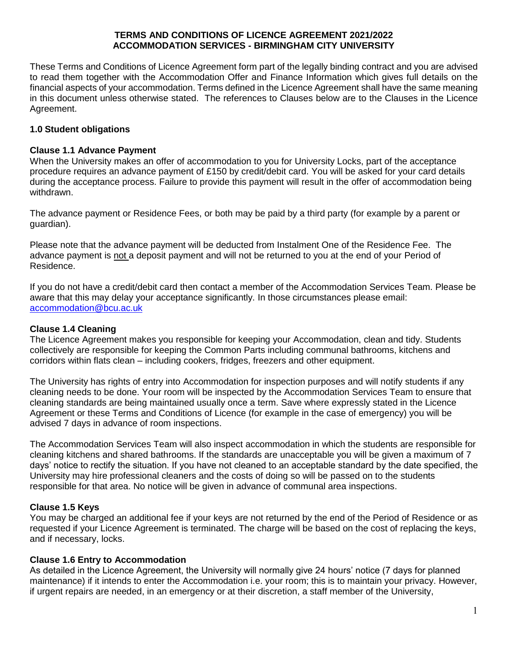### **TERMS AND CONDITIONS OF LICENCE AGREEMENT 2021/2022 ACCOMMODATION SERVICES - BIRMINGHAM CITY UNIVERSITY**

These Terms and Conditions of Licence Agreement form part of the legally binding contract and you are advised to read them together with the Accommodation Offer and Finance Information which gives full details on the financial aspects of your accommodation. Terms defined in the Licence Agreement shall have the same meaning in this document unless otherwise stated. The references to Clauses below are to the Clauses in the Licence Agreement.

# **1.0 Student obligations**

### **Clause 1.1 Advance Payment**

When the University makes an offer of accommodation to you for University Locks, part of the acceptance procedure requires an advance payment of £150 by credit/debit card. You will be asked for your card details during the acceptance process. Failure to provide this payment will result in the offer of accommodation being withdrawn.

The advance payment or Residence Fees, or both may be paid by a third party (for example by a parent or guardian).

Please note that the advance payment will be deducted from Instalment One of the Residence Fee. The advance payment is not a deposit payment and will not be returned to you at the end of your Period of Residence.

If you do not have a credit/debit card then contact a member of the Accommodation Services Team. Please be aware that this may delay your acceptance significantly. In those circumstances please email: [accommodation@bcu.ac.uk](mailto:accommodation@bcu.ac.uk)

### **Clause 1.4 Cleaning**

The Licence Agreement makes you responsible for keeping your Accommodation, clean and tidy. Students collectively are responsible for keeping the Common Parts including communal bathrooms, kitchens and corridors within flats clean – including cookers, fridges, freezers and other equipment.

The University has rights of entry into Accommodation for inspection purposes and will notify students if any cleaning needs to be done. Your room will be inspected by the Accommodation Services Team to ensure that cleaning standards are being maintained usually once a term. Save where expressly stated in the Licence Agreement or these Terms and Conditions of Licence (for example in the case of emergency) you will be advised 7 days in advance of room inspections.

The Accommodation Services Team will also inspect accommodation in which the students are responsible for cleaning kitchens and shared bathrooms. If the standards are unacceptable you will be given a maximum of 7 days' notice to rectify the situation. If you have not cleaned to an acceptable standard by the date specified, the University may hire professional cleaners and the costs of doing so will be passed on to the students responsible for that area. No notice will be given in advance of communal area inspections.

### **Clause 1.5 Keys**

You may be charged an additional fee if your keys are not returned by the end of the Period of Residence or as requested if your Licence Agreement is terminated. The charge will be based on the cost of replacing the keys, and if necessary, locks.

### **Clause 1.6 Entry to Accommodation**

As detailed in the Licence Agreement, the University will normally give 24 hours' notice (7 days for planned maintenance) if it intends to enter the Accommodation i.e. your room; this is to maintain your privacy. However, if urgent repairs are needed, in an emergency or at their discretion, a staff member of the University,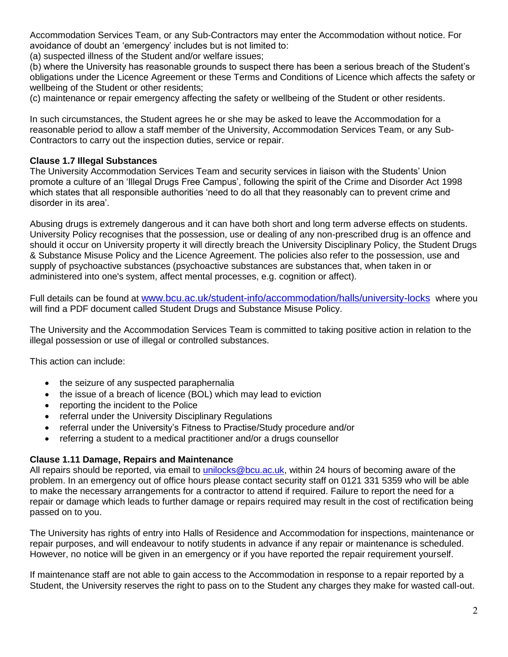Accommodation Services Team, or any Sub-Contractors may enter the Accommodation without notice. For avoidance of doubt an 'emergency' includes but is not limited to:

(a) suspected illness of the Student and/or welfare issues;

(b) where the University has reasonable grounds to suspect there has been a serious breach of the Student's obligations under the Licence Agreement or these Terms and Conditions of Licence which affects the safety or wellbeing of the Student or other residents;

(c) maintenance or repair emergency affecting the safety or wellbeing of the Student or other residents.

In such circumstances, the Student agrees he or she may be asked to leave the Accommodation for a reasonable period to allow a staff member of the University, Accommodation Services Team, or any Sub-Contractors to carry out the inspection duties, service or repair.

# **Clause 1.7 Illegal Substances**

The University Accommodation Services Team and security services in liaison with the Students' Union promote a culture of an 'Illegal Drugs Free Campus', following the spirit of the Crime and Disorder Act 1998 which states that all responsible authorities 'need to do all that they reasonably can to prevent crime and disorder in its area'.

Abusing drugs is extremely dangerous and it can have both short and long term adverse effects on students. University Policy recognises that the possession, use or dealing of any non-prescribed drug is an offence and should it occur on University property it will directly breach the University Disciplinary Policy, the Student Drugs & Substance Misuse Policy and the Licence Agreement. The policies also refer to the possession, use and supply of psychoactive substances (psychoactive substances are substances that, when taken in or administered into one's system, affect mental processes, e.g. cognition or affect).

Full details can be found at [www.bcu.ac.uk/student-info/accommodation/halls/university-locks](http://www.bcu.ac.uk/student-info/accommodation/halls/university-locks) where you will find a PDF document called Student Drugs and Substance Misuse Policy.

The University and the Accommodation Services Team is committed to taking positive action in relation to the illegal possession or use of illegal or controlled substances.

This action can include:

- the seizure of any suspected paraphernalia
- the issue of a breach of licence (BOL) which may lead to eviction
- reporting the incident to the Police
- referral under the University Disciplinary Regulations
- referral under the University's Fitness to Practise/Study procedure and/or
- referring a student to a medical practitioner and/or a drugs counsellor

### **Clause 1.11 Damage, Repairs and Maintenance**

All repairs should be reported, via email to [unilocks@bcu.ac.uk,](mailto:unilocks@bcu.ac.uk) within 24 hours of becoming aware of the problem. In an emergency out of office hours please contact security staff on 0121 331 5359 who will be able to make the necessary arrangements for a contractor to attend if required. Failure to report the need for a repair or damage which leads to further damage or repairs required may result in the cost of rectification being passed on to you.

The University has rights of entry into Halls of Residence and Accommodation for inspections, maintenance or repair purposes, and will endeavour to notify students in advance if any repair or maintenance is scheduled. However, no notice will be given in an emergency or if you have reported the repair requirement yourself.

If maintenance staff are not able to gain access to the Accommodation in response to a repair reported by a Student, the University reserves the right to pass on to the Student any charges they make for wasted call-out.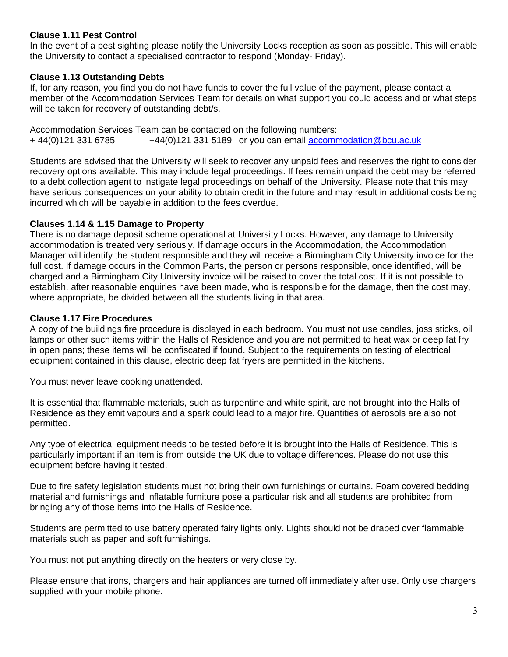## **Clause 1.11 Pest Control**

In the event of a pest sighting please notify the University Locks reception as soon as possible. This will enable the University to contact a specialised contractor to respond (Monday- Friday).

## **Clause 1.13 Outstanding Debts**

If, for any reason, you find you do not have funds to cover the full value of the payment, please contact a member of the Accommodation Services Team for details on what support you could access and or what steps will be taken for recovery of outstanding debt/s.

Accommodation Services Team can be contacted on the following numbers: + 44(0)121 331 6785 +44(0)121 331 5189 or you can email accommodation@bcu.ac.uk

Students are advised that the University will seek to recover any unpaid fees and reserves the right to consider recovery options available. This may include legal proceedings. If fees remain unpaid the debt may be referred to a debt collection agent to instigate legal proceedings on behalf of the University. Please note that this may have serious consequences on your ability to obtain credit in the future and may result in additional costs being incurred which will be payable in addition to the fees overdue.

### **Clauses 1.14 & 1.15 Damage to Property**

There is no damage deposit scheme operational at University Locks. However, any damage to University accommodation is treated very seriously. If damage occurs in the Accommodation, the Accommodation Manager will identify the student responsible and they will receive a Birmingham City University invoice for the full cost. If damage occurs in the Common Parts, the person or persons responsible, once identified, will be charged and a Birmingham City University invoice will be raised to cover the total cost. If it is not possible to establish, after reasonable enquiries have been made, who is responsible for the damage, then the cost may, where appropriate, be divided between all the students living in that area.

### **Clause 1.17 Fire Procedures**

A copy of the buildings fire procedure is displayed in each bedroom. You must not use candles, joss sticks, oil lamps or other such items within the Halls of Residence and you are not permitted to heat wax or deep fat fry in open pans; these items will be confiscated if found. Subject to the requirements on testing of electrical equipment contained in this clause, electric deep fat fryers are permitted in the kitchens.

You must never leave cooking unattended.

It is essential that flammable materials, such as turpentine and white spirit, are not brought into the Halls of Residence as they emit vapours and a spark could lead to a major fire. Quantities of aerosols are also not permitted.

Any type of electrical equipment needs to be tested before it is brought into the Halls of Residence. This is particularly important if an item is from outside the UK due to voltage differences. Please do not use this equipment before having it tested.

Due to fire safety legislation students must not bring their own furnishings or curtains. Foam covered bedding material and furnishings and inflatable furniture pose a particular risk and all students are prohibited from bringing any of those items into the Halls of Residence.

Students are permitted to use battery operated fairy lights only. Lights should not be draped over flammable materials such as paper and soft furnishings.

You must not put anything directly on the heaters or very close by.

Please ensure that irons, chargers and hair appliances are turned off immediately after use. Only use chargers supplied with your mobile phone.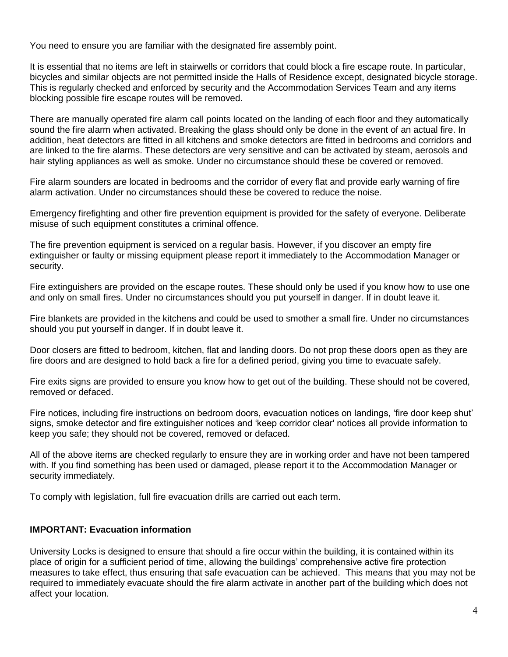You need to ensure you are familiar with the designated fire assembly point.

It is essential that no items are left in stairwells or corridors that could block a fire escape route. In particular, bicycles and similar objects are not permitted inside the Halls of Residence except, designated bicycle storage. This is regularly checked and enforced by security and the Accommodation Services Team and any items blocking possible fire escape routes will be removed.

There are manually operated fire alarm call points located on the landing of each floor and they automatically sound the fire alarm when activated. Breaking the glass should only be done in the event of an actual fire. In addition, heat detectors are fitted in all kitchens and smoke detectors are fitted in bedrooms and corridors and are linked to the fire alarms. These detectors are very sensitive and can be activated by steam, aerosols and hair styling appliances as well as smoke. Under no circumstance should these be covered or removed.

Fire alarm sounders are located in bedrooms and the corridor of every flat and provide early warning of fire alarm activation. Under no circumstances should these be covered to reduce the noise.

Emergency firefighting and other fire prevention equipment is provided for the safety of everyone. Deliberate misuse of such equipment constitutes a criminal offence.

The fire prevention equipment is serviced on a regular basis. However, if you discover an empty fire extinguisher or faulty or missing equipment please report it immediately to the Accommodation Manager or security.

Fire extinguishers are provided on the escape routes. These should only be used if you know how to use one and only on small fires. Under no circumstances should you put yourself in danger. If in doubt leave it.

Fire blankets are provided in the kitchens and could be used to smother a small fire. Under no circumstances should you put yourself in danger. If in doubt leave it.

Door closers are fitted to bedroom, kitchen, flat and landing doors. Do not prop these doors open as they are fire doors and are designed to hold back a fire for a defined period, giving you time to evacuate safely.

Fire exits signs are provided to ensure you know how to get out of the building. These should not be covered, removed or defaced.

Fire notices, including fire instructions on bedroom doors, evacuation notices on landings, 'fire door keep shut' signs, smoke detector and fire extinguisher notices and 'keep corridor clear' notices all provide information to keep you safe; they should not be covered, removed or defaced.

All of the above items are checked regularly to ensure they are in working order and have not been tampered with. If you find something has been used or damaged, please report it to the Accommodation Manager or security immediately.

To comply with legislation, full fire evacuation drills are carried out each term.

### **IMPORTANT: Evacuation information**

University Locks is designed to ensure that should a fire occur within the building, it is contained within its place of origin for a sufficient period of time, allowing the buildings' comprehensive active fire protection measures to take effect, thus ensuring that safe evacuation can be achieved. This means that you may not be required to immediately evacuate should the fire alarm activate in another part of the building which does not affect your location.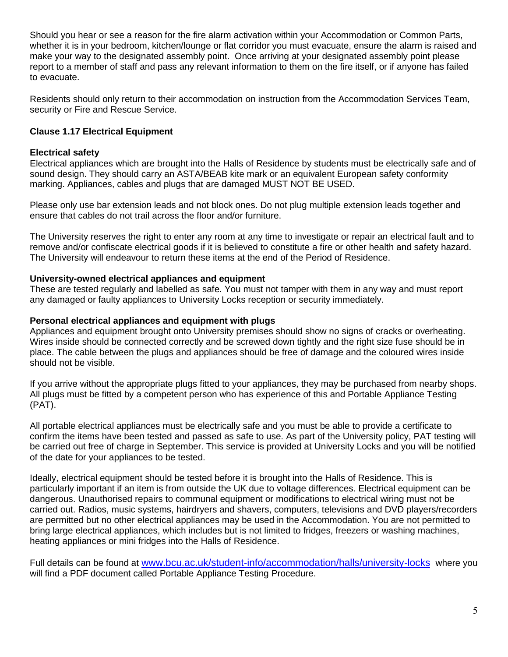Should you hear or see a reason for the fire alarm activation within your Accommodation or Common Parts, whether it is in your bedroom, kitchen/lounge or flat corridor you must evacuate, ensure the alarm is raised and make your way to the designated assembly point. Once arriving at your designated assembly point please report to a member of staff and pass any relevant information to them on the fire itself, or if anyone has failed to evacuate.

Residents should only return to their accommodation on instruction from the Accommodation Services Team, security or Fire and Rescue Service.

# **Clause 1.17 Electrical Equipment**

# **Electrical safety**

Electrical appliances which are brought into the Halls of Residence by students must be electrically safe and of sound design. They should carry an ASTA/BEAB kite mark or an equivalent European safety conformity marking. Appliances, cables and plugs that are damaged MUST NOT BE USED.

Please only use bar extension leads and not block ones. Do not plug multiple extension leads together and ensure that cables do not trail across the floor and/or furniture.

The University reserves the right to enter any room at any time to investigate or repair an electrical fault and to remove and/or confiscate electrical goods if it is believed to constitute a fire or other health and safety hazard. The University will endeavour to return these items at the end of the Period of Residence.

## **University-owned electrical appliances and equipment**

These are tested regularly and labelled as safe. You must not tamper with them in any way and must report any damaged or faulty appliances to University Locks reception or security immediately.

### **Personal electrical appliances and equipment with plugs**

Appliances and equipment brought onto University premises should show no signs of cracks or overheating. Wires inside should be connected correctly and be screwed down tightly and the right size fuse should be in place. The cable between the plugs and appliances should be free of damage and the coloured wires inside should not be visible.

If you arrive without the appropriate plugs fitted to your appliances, they may be purchased from nearby shops. All plugs must be fitted by a competent person who has experience of this and Portable Appliance Testing (PAT).

All portable electrical appliances must be electrically safe and you must be able to provide a certificate to confirm the items have been tested and passed as safe to use. As part of the University policy, PAT testing will be carried out free of charge in September. This service is provided at University Locks and you will be notified of the date for your appliances to be tested.

Ideally, electrical equipment should be tested before it is brought into the Halls of Residence. This is particularly important if an item is from outside the UK due to voltage differences. Electrical equipment can be dangerous. Unauthorised repairs to communal equipment or modifications to electrical wiring must not be carried out. Radios, music systems, hairdryers and shavers, computers, televisions and DVD players/recorders are permitted but no other electrical appliances may be used in the Accommodation. You are not permitted to bring large electrical appliances, which includes but is not limited to fridges, freezers or washing machines, heating appliances or mini fridges into the Halls of Residence.

Full details can be found at [www.bcu.ac.uk/student-info/accommodation/halls/university-locks](http://www.bcu.ac.uk/student-info/accommodation/halls/university-locks) where you will find a PDF document called Portable Appliance Testing Procedure.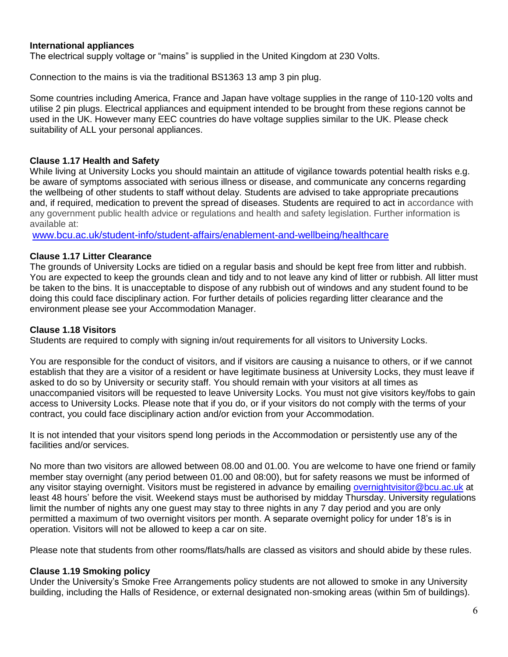### **International appliances**

The electrical supply voltage or "mains" is supplied in the United Kingdom at 230 Volts.

Connection to the mains is via the traditional BS1363 13 amp 3 pin plug.

Some countries including America, France and Japan have voltage supplies in the range of 110-120 volts and utilise 2 pin plugs. Electrical appliances and equipment intended to be brought from these regions cannot be used in the UK. However many EEC countries do have voltage supplies similar to the UK. Please check suitability of ALL your personal appliances.

### **Clause 1.17 Health and Safety**

While living at University Locks you should maintain an attitude of vigilance towards potential health risks e.g. be aware of symptoms associated with serious illness or disease, and communicate any concerns regarding the wellbeing of other students to staff without delay. Students are advised to take appropriate precautions and, if required, medication to prevent the spread of diseases. Students are required to act in accordance with any government public health advice or regulations and health and safety legislation. Further information is available at:

[www.bcu.ac.uk/student-info/student-affairs/enablement-and-wellbeing/healthcare](http://www.bcu.ac.uk/student-info/student-affairs/enablement-and-wellbeing/healthcare)

### **Clause 1.17 Litter Clearance**

The grounds of University Locks are tidied on a regular basis and should be kept free from litter and rubbish. You are expected to keep the grounds clean and tidy and to not leave any kind of litter or rubbish. All litter must be taken to the bins. It is unacceptable to dispose of any rubbish out of windows and any student found to be doing this could face disciplinary action. For further details of policies regarding litter clearance and the environment please see your Accommodation Manager.

#### **Clause 1.18 Visitors**

Students are required to comply with signing in/out requirements for all visitors to University Locks.

You are responsible for the conduct of visitors, and if visitors are causing a nuisance to others, or if we cannot establish that they are a visitor of a resident or have legitimate business at University Locks, they must leave if asked to do so by University or security staff. You should remain with your visitors at all times as unaccompanied visitors will be requested to leave University Locks. You must not give visitors key/fobs to gain access to University Locks. Please note that if you do, or if your visitors do not comply with the terms of your contract, you could face disciplinary action and/or eviction from your Accommodation.

It is not intended that your visitors spend long periods in the Accommodation or persistently use any of the facilities and/or services.

No more than two visitors are allowed between 08.00 and 01.00. You are welcome to have one friend or family member stay overnight (any period between 01.00 and 08:00), but for safety reasons we must be informed of any visitor staying overnight. Visitors must be registered in advance by emailing [overnightvisitor@bcu.ac.uk](mailto:overnightvisitor@bcu.ac.uk) at least 48 hours' before the visit. Weekend stays must be authorised by midday Thursday. University regulations limit the number of nights any one guest may stay to three nights in any 7 day period and you are only permitted a maximum of two overnight visitors per month. A separate overnight policy for under 18's is in operation. Visitors will not be allowed to keep a car on site.

Please note that students from other rooms/flats/halls are classed as visitors and should abide by these rules.

#### **Clause 1.19 Smoking policy**

Under the University's Smoke Free Arrangements policy students are not allowed to smoke in any University building, including the Halls of Residence, or external designated non-smoking areas (within 5m of buildings).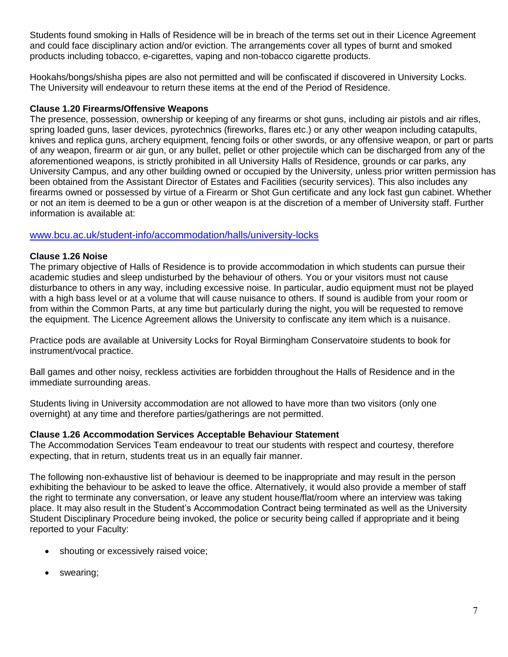Students found smoking in Halls of Residence will be in breach of the terms set out in their Licence Agreement and could face disciplinary action and/or eviction. The arrangements cover all types of burnt and smoked products including tobacco, e-cigarettes, vaping and non-tobacco cigarette products.

Hookahs/bongs/shisha pipes are also not permitted and will be confiscated if discovered in University Locks. The University will endeavour to return these items at the end of the Period of Residence.

## **Clause 1.20 Firearms/Offensive Weapons**

The presence, possession, ownership or keeping of any firearms or shot guns, including air pistols and air rifles, spring loaded guns, laser devices, pyrotechnics (fireworks, flares etc.) or any other weapon including catapults, knives and replica guns, archery equipment, fencing foils or other swords, or any offensive weapon, or part or parts of any weapon, firearm or air gun, or any bullet, pellet or other projectile which can be discharged from any of the aforementioned weapons, is strictly prohibited in all University Halls of Residence, grounds or car parks, any University Campus, and any other building owned or occupied by the University, unless prior written permission has been obtained from the Assistant Director of Estates and Facilities (security services). This also includes any firearms owned or possessed by virtue of a Firearm or Shot Gun certificate and any lock fast gun cabinet. Whether or not an item is deemed to be a gun or other weapon is at the discretion of a member of University staff. Further information is available at:

# [www.bcu.ac.uk/student-info/accommodation/halls/university-locks](http://www.bcu.ac.uk/student-info/accommodation/halls/university-locks)

# **Clause 1.26 Noise**

The primary objective of Halls of Residence is to provide accommodation in which students can pursue their academic studies and sleep undisturbed by the behaviour of others. You or your visitors must not cause disturbance to others in any way, including excessive noise. In particular, audio equipment must not be played with a high bass level or at a volume that will cause nuisance to others. If sound is audible from your room or from within the Common Parts, at any time but particularly during the night, you will be requested to remove the equipment. The Licence Agreement allows the University to confiscate any item which is a nuisance.

Practice pods are available at University Locks for Royal Birmingham Conservatoire students to book for instrument/vocal practice.

Ball games and other noisy, reckless activities are forbidden throughout the Halls of Residence and in the immediate surrounding areas.

Students living in University accommodation are not allowed to have more than two visitors (only one overnight) at any time and therefore parties/gatherings are not permitted.

### **Clause 1.26 Accommodation Services Acceptable Behaviour Statement**

The Accommodation Services Team endeavour to treat our students with respect and courtesy, therefore expecting, that in return, students treat us in an equally fair manner.

The following non-exhaustive list of behaviour is deemed to be inappropriate and may result in the person exhibiting the behaviour to be asked to leave the office. Alternatively, it would also provide a member of staff the right to terminate any conversation, or leave any student house/flat/room where an interview was taking place. It may also result in the Student's Accommodation Contract being terminated as well as the University Student Disciplinary Procedure being invoked, the police or security being called if appropriate and it being reported to your Faculty:

- shouting or excessively raised voice;
- swearing;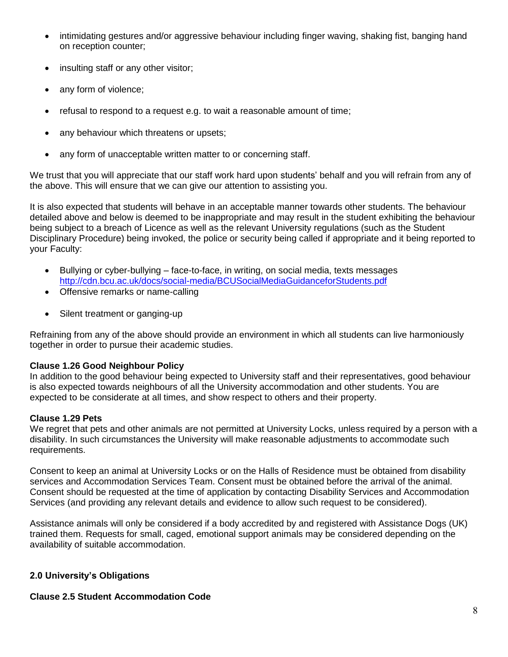- intimidating gestures and/or aggressive behaviour including finger waving, shaking fist, banging hand on reception counter;
- insulting staff or any other visitor;
- any form of violence;
- refusal to respond to a request e.g. to wait a reasonable amount of time;
- any behaviour which threatens or upsets;
- any form of unacceptable written matter to or concerning staff.

We trust that you will appreciate that our staff work hard upon students' behalf and you will refrain from any of the above. This will ensure that we can give our attention to assisting you.

It is also expected that students will behave in an acceptable manner towards other students. The behaviour detailed above and below is deemed to be inappropriate and may result in the student exhibiting the behaviour being subject to a breach of Licence as well as the relevant University regulations (such as the Student Disciplinary Procedure) being invoked, the police or security being called if appropriate and it being reported to your Faculty:

- Bullying or cyber-bullying face-to-face, in writing, on social media, texts messages <http://cdn.bcu.ac.uk/docs/social-media/BCUSocialMediaGuidanceforStudents.pdf>
- Offensive remarks or name-calling
- Silent treatment or ganging-up

Refraining from any of the above should provide an environment in which all students can live harmoniously together in order to pursue their academic studies.

### **Clause 1.26 Good Neighbour Policy**

In addition to the good behaviour being expected to University staff and their representatives, good behaviour is also expected towards neighbours of all the University accommodation and other students. You are expected to be considerate at all times, and show respect to others and their property.

### **Clause 1.29 Pets**

We regret that pets and other animals are not permitted at University Locks, unless required by a person with a disability. In such circumstances the University will make reasonable adjustments to accommodate such requirements.

Consent to keep an animal at University Locks or on the Halls of Residence must be obtained from disability services and Accommodation Services Team. Consent must be obtained before the arrival of the animal. Consent should be requested at the time of application by contacting Disability Services and Accommodation Services (and providing any relevant details and evidence to allow such request to be considered).

Assistance animals will only be considered if a body accredited by and registered with Assistance Dogs (UK) trained them. Requests for small, caged, emotional support animals may be considered depending on the availability of suitable accommodation.

### **2.0 University's Obligations**

#### **Clause 2.5 Student Accommodation Code**